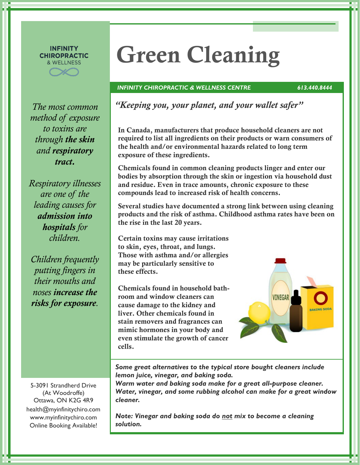#### **INFINITY CHIROPRACTIC** & WELLNESS

*method of exposure to toxins are through the skin and respiratory tract.*

*Respiratory illnesses are one of the leading causes for admission into hospitals for children.* 

*Children frequently putting fingers in their mouths and noses increase the risks for exposure.*

5-3091 Strandherd Drive (At Woodroffe) Ottawa, ON K2G 4R9 health@myinfinitychiro.com www.myinfinitychiro.com Online Booking Available!

# **Green Cleaning**

### *INFINITY CHIROPRACTIC & WELLNESS CENTRE 613.440.8444*

*The most common "Keeping you, your planet, and your wallet safer"*

**In Canada, manufacturers that produce household cleaners are not required to list all ingredients on their products or warn consumers of the health and/or environmental hazards related to long term exposure of these ingredients.** 

**Chemicals found in common cleaning products linger and enter our bodies by absorption through the skin or ingestion via household dust and residue. Even in trace amounts, chronic exposure to these compounds lead to increased risk of health concerns.** 

**Several studies have documented a strong link between using cleaning products and the risk of asthma. Childhood asthma rates have been on the rise in the last 20 years.** 

**Certain toxins may cause irritations to skin, eyes, throat, and lungs. Those with asthma and/or allergies may be particularly sensitive to these effects.** 

**Chemicals found in household bathroom and window cleaners can cause damage to the kidney and liver. Other chemicals found in stain removers and fragrances can mimic hormones in your body and even stimulate the growth of cancer cells.** 

**VINEGAR** 

*Some great alternatives to the typical store bought cleaners include lemon juice, vinegar, and baking soda.* 

*Warm water and baking soda make for a great all-purpose cleaner. Water, vinegar, and some rubbing alcohol can make for a great window cleaner.* 

*Note: Vinegar and baking soda do not mix to become a cleaning solution.*